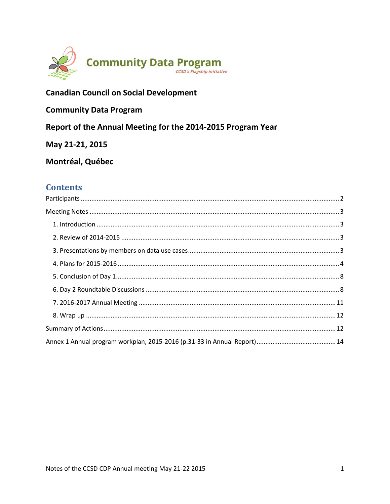

# **Canadian Council on Social Development**

# **Community Data Program**

Report of the Annual Meeting for the 2014-2015 Program Year

May 21-21, 2015

# Montréal, Québec

# **Contents**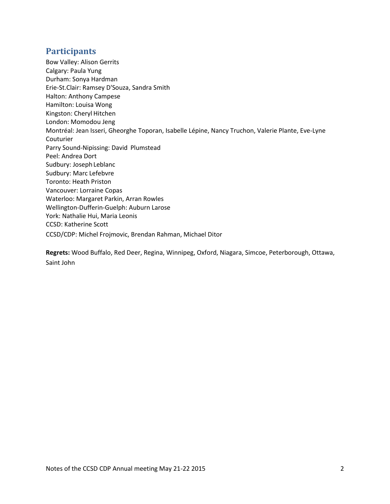# <span id="page-1-0"></span>**Participants**

Bow Valley: Alison Gerrits Calgary: Paula Yung Durham: Sonya Hardman Erie-St.Clair: Ramsey D'Souza, Sandra Smith Halton: Anthony Campese Hamilton: Louisa Wong Kingston: Cheryl Hitchen London: Momodou Jeng Montréal: Jean Isseri, Gheorghe Toporan, Isabelle Lépine, Nancy Truchon, Valerie Plante, Eve-Lyne Couturier Parry Sound-Nipissing: David Plumstead Peel: Andrea Dort Sudbury: Joseph Leblanc Sudbury: Marc Lefebvre Toronto: Heath Priston Vancouver: Lorraine Copas Waterloo: Margaret Parkin, Arran Rowles Wellington-Dufferin-Guelph: Auburn Larose York: Nathalie Hui, Maria Leonis CCSD: Katherine Scott CCSD/CDP: Michel Frojmovic, Brendan Rahman, Michael Ditor

**Regrets:** Wood Buffalo, Red Deer, Regina, Winnipeg, Oxford, Niagara, Simcoe, Peterborough, Ottawa, Saint John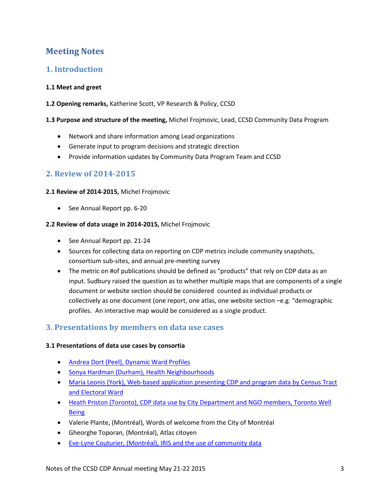# <span id="page-2-0"></span>**Meeting Notes**

# <span id="page-2-1"></span>**1. Introduction**

## **1.1 Meet and greet**

**1.2 Opening remarks,** Katherine Scott, VP Research & Policy, CCSD

#### **1.3 Purpose and structure of the meeting,** Michel Frojmovic, Lead, CCSD Community Data Program

- Network and share information among Lead organizations
- Generate input to program decisions and strategic direction
- Provide information updates by Community Data Program Team and CCSD

# <span id="page-2-2"></span>**2. Review of 2014-2015**

## **2.1 Review of 2014-2015,** Michel Frojmovic

• See Annual Report pp. 6-20

## **2.2 Review of data usage in 2014-2015,** Michel Frojmovic

- See Annual Report pp. 21-24
- Sources for collecting data on reporting on CDP metrics include community snapshots, consortium sub-sites, and annual pre-meeting survey
- The metric on #of publications should be defined as "products" that rely on CDP data as an input. Sudbury raised the question as to whether multiple maps that are components of a single document or website section should be considered counted as individual products or collectively as one document (one report, one atlas, one website section –e.g. "demographic profiles. An interactive map would be considered as a single product.

# <span id="page-2-3"></span>**3. Presentations by members on data use cases**

## **3.1 Presentations of data use cases by consortia**

- [Andrea Dort \(Peel\), Dynamic Ward Profiles](http://communitydata.ca/sites/default/files/3.1%20Peel.pptx)
- [Sonya Hardman \(Durham\), Health Neighbourhoods](http://communitydata.ca/sites/default/files/3.1%20Durham.pdf)
- [Maria Leonis \(York\), Web-based application presenting CDP and program data by Census Tract](http://communitydata.ca/sites/default/files/3.1%20York.ppt)  [and Electoral Ward](http://communitydata.ca/sites/default/files/3.1%20York.ppt)
- Heath Priston (Toronto), CDP data use by City Department and NGO members, Toronto Well [Being](http://communitydata.ca/sites/default/files/3.1%20Toronto.pptx)
- Valerie Plante, (Montréal), Words of welcome from the City of Montréal
- Gheorghe Toporan, (Montréal), Atlas citoyen
- Eve-Lyne Couturier, [\(Montréal\), IRIS and the use of community data](http://communitydata.ca/sites/default/files/3.1%20Montreal%20IRIS.pptx)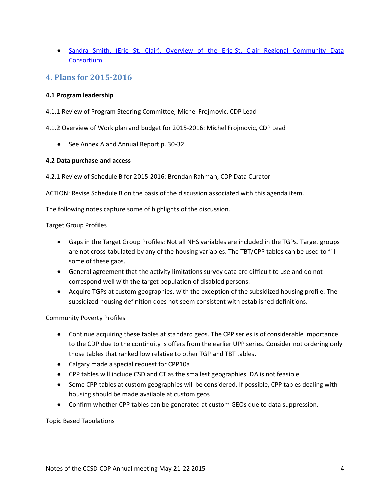• Sandra Smith, (Erie St. Clair), Overview of the Erie-St. Clair Regional Community Data **[Consortium](http://communitydata.ca/sites/default/files/3.1%20Erie-StClair.pdf)** 

## <span id="page-3-0"></span>**4. Plans for 2015-2016**

## **4.1 Program leadership**

- 4.1.1 Review of Program Steering Committee, Michel Frojmovic, CDP Lead
- 4.1.2 Overview of Work plan and budget for 2015-2016: Michel Frojmovic, CDP Lead
	- See Annex A and Annual Report p. 30-32

#### **4.2 Data purchase and access**

4.2.1 Review of Schedule B for 2015-2016: Brendan Rahman, CDP Data Curator

ACTION: Revise Schedule B on the basis of the discussion associated with this agenda item.

The following notes capture some of highlights of the discussion.

#### Target Group Profiles

- Gaps in the Target Group Profiles: Not all NHS variables are included in the TGPs. Target groups are not cross-tabulated by any of the housing variables. The TBT/CPP tables can be used to fill some of these gaps.
- General agreement that the activity limitations survey data are difficult to use and do not correspond well with the target population of disabled persons.
- Acquire TGPs at custom geographies, with the exception of the subsidized housing profile. The subsidized housing definition does not seem consistent with established definitions.

#### Community Poverty Profiles

- Continue acquiring these tables at standard geos. The CPP series is of considerable importance to the CDP due to the continuity is offers from the earlier UPP series. Consider not ordering only those tables that ranked low relative to other TGP and TBT tables.
- Calgary made a special request for CPP10a
- CPP tables will include CSD and CT as the smallest geographies. DA is not feasible.
- Some CPP tables at custom geographies will be considered. If possible, CPP tables dealing with housing should be made available at custom geos
- Confirm whether CPP tables can be generated at custom GEOs due to data suppression.

#### Topic Based Tabulations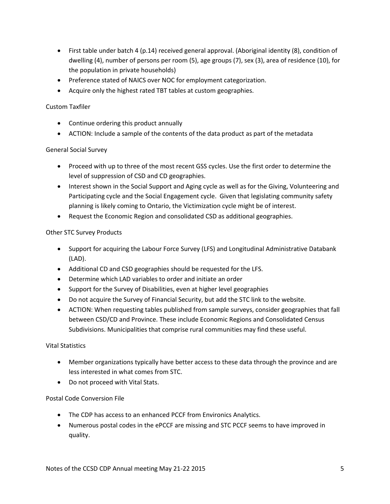- First table under batch 4 (p.14) received general approval. (Aboriginal identity (8), condition of dwelling (4), number of persons per room (5), age groups (7), sex (3), area of residence (10), for the population in private households)
- Preference stated of NAICS over NOC for employment categorization.
- Acquire only the highest rated TBT tables at custom geographies.

## Custom Taxfiler

- Continue ordering this product annually
- ACTION: Include a sample of the contents of the data product as part of the metadata

## General Social Survey

- Proceed with up to three of the most recent GSS cycles. Use the first order to determine the level of suppression of CSD and CD geographies.
- Interest shown in the Social Support and Aging cycle as well as for the Giving, Volunteering and Participating cycle and the Social Engagement cycle. Given that legislating community safety planning is likely coming to Ontario, the Victimization cycle might be of interest.
- Request the Economic Region and consolidated CSD as additional geographies.

## Other STC Survey Products

- Support for acquiring the Labour Force Survey (LFS) and Longitudinal Administrative Databank (LAD).
- Additional CD and CSD geographies should be requested for the LFS.
- Determine which LAD variables to order and initiate an order
- Support for the Survey of Disabilities, even at higher level geographies
- Do not acquire the Survey of Financial Security, but add the STC link to the website.
- ACTION: When requesting tables published from sample surveys, consider geographies that fall between CSD/CD and Province. These include Economic Regions and Consolidated Census Subdivisions. Municipalities that comprise rural communities may find these useful.

#### Vital Statistics

- Member organizations typically have better access to these data through the province and are less interested in what comes from STC.
- Do not proceed with Vital Stats.

## Postal Code Conversion File

- The CDP has access to an enhanced PCCF from Environics Analytics.
- Numerous postal codes in the ePCCF are missing and STC PCCF seems to have improved in quality.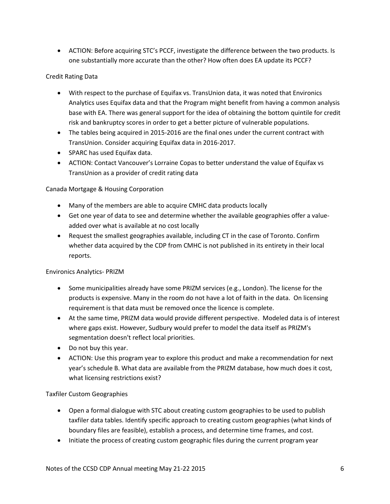ACTION: Before acquiring STC's PCCF, investigate the difference between the two products. Is one substantially more accurate than the other? How often does EA update its PCCF?

## Credit Rating Data

- With respect to the purchase of Equifax vs. TransUnion data, it was noted that Environics Analytics uses Equifax data and that the Program might benefit from having a common analysis base with EA. There was general support for the idea of obtaining the bottom quintile for credit risk and bankruptcy scores in order to get a better picture of vulnerable populations.
- The tables being acquired in 2015-2016 are the final ones under the current contract with TransUnion. Consider acquiring Equifax data in 2016-2017.
- SPARC has used Equifax data.
- ACTION: Contact Vancouver's Lorraine Copas to better understand the value of Equifax vs TransUnion as a provider of credit rating data

## Canada Mortgage & Housing Corporation

- Many of the members are able to acquire CMHC data products locally
- Get one year of data to see and determine whether the available geographies offer a valueadded over what is available at no cost locally
- Request the smallest geographies available, including CT in the case of Toronto. Confirm whether data acquired by the CDP from CMHC is not published in its entirety in their local reports.

#### Environics Analytics- PRIZM

- Some municipalities already have some PRIZM services (e.g., London). The license for the products is expensive. Many in the room do not have a lot of faith in the data. On licensing requirement is that data must be removed once the licence is complete.
- At the same time, PRIZM data would provide different perspective. Modeled data is of interest where gaps exist. However, Sudbury would prefer to model the data itself as PRIZM's segmentation doesn't reflect local priorities.
- Do not buy this year.
- ACTION: Use this program year to explore this product and make a recommendation for next year's schedule B. What data are available from the PRIZM database, how much does it cost, what licensing restrictions exist?

#### Taxfiler Custom Geographies

- Open a formal dialogue with STC about creating custom geographies to be used to publish taxfiler data tables. Identify specific approach to creating custom geographies (what kinds of boundary files are feasible), establish a process, and determine time frames, and cost.
- Initiate the process of creating custom geographic files during the current program year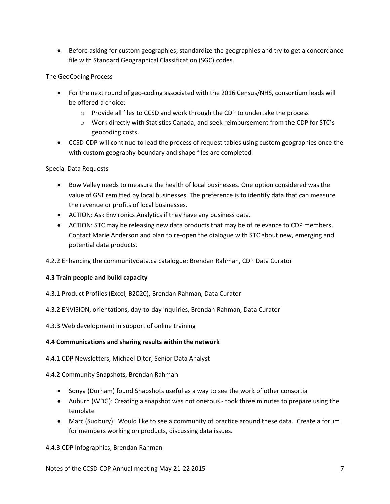Before asking for custom geographies, standardize the geographies and try to get a concordance file with Standard Geographical Classification (SGC) codes.

The GeoCoding Process

- For the next round of geo-coding associated with the 2016 Census/NHS, consortium leads will be offered a choice:
	- $\circ$  Provide all files to CCSD and work through the CDP to undertake the process
	- o Work directly with Statistics Canada, and seek reimbursement from the CDP for STC's geocoding costs.
- CCSD-CDP will continue to lead the process of request tables using custom geographies once the with custom geography boundary and shape files are completed

## Special Data Requests

- Bow Valley needs to measure the health of local businesses. One option considered was the value of GST remitted by local businesses. The preference is to identify data that can measure the revenue or profits of local businesses.
- ACTION: Ask Environics Analytics if they have any business data.
- ACTION: STC may be releasing new data products that may be of relevance to CDP members. Contact Marie Anderson and plan to re-open the dialogue with STC about new, emerging and potential data products.
- 4.2.2 Enhancing the communitydata.ca catalogue: Brendan Rahman, CDP Data Curator

## **4.3 Train people and build capacity**

- 4.3.1 Product Profiles (Excel, B2020), Brendan Rahman, Data Curator
- 4.3.2 ENVISION, orientations, day-to-day inquiries, Brendan Rahman, Data Curator
- 4.3.3 Web development in support of online training

## **4.4 Communications and sharing results within the network**

4.4.1 CDP Newsletters, Michael Ditor, Senior Data Analyst

## 4.4.2 Community Snapshots, Brendan Rahman

- Sonya (Durham) found Snapshots useful as a way to see the work of other consortia
- Auburn (WDG): Creating a snapshot was not onerous took three minutes to prepare using the template
- Marc (Sudbury): Would like to see a community of practice around these data. Create a forum for members working on products, discussing data issues.

## 4.4.3 CDP Infographics, Brendan Rahman

Notes of the CCSD CDP Annual meeting May 21-22 2015 7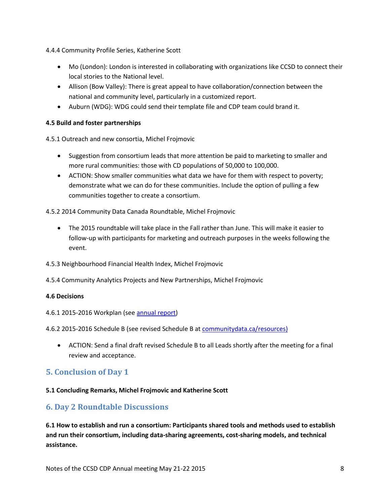4.4.4 Community Profile Series, Katherine Scott

- Mo (London): London is interested in collaborating with organizations like CCSD to connect their local stories to the National level.
- Allison (Bow Valley): There is great appeal to have collaboration/connection between the national and community level, particularly in a customized report.
- Auburn (WDG): WDG could send their template file and CDP team could brand it.

## **4.5 Build and foster partnerships**

4.5.1 Outreach and new consortia, Michel Frojmovic

- Suggestion from consortium leads that more attention be paid to marketing to smaller and more rural communities: those with CD populations of 50,000 to 100,000.
- ACTION: Show smaller communities what data we have for them with respect to poverty; demonstrate what we can do for these communities. Include the option of pulling a few communities together to create a consortium.

## 4.5.2 2014 Community Data Canada Roundtable, Michel Frojmovic

- The 2015 roundtable will take place in the Fall rather than June. This will make it easier to follow-up with participants for marketing and outreach purposes in the weeks following the event.
- 4.5.3 Neighbourhood Financial Health Index, Michel Frojmovic
- 4.5.4 Community Analytics Projects and New Partnerships, Michel Frojmovic

#### **4.6 Decisions**

#### 4.6.1 2015-2016 Workplan (se[e annual report\)](http://communitydata.ca/sites/default/files/ccsd-cdp_annual-report-2013-2014.pdf)

4.6.2 2015-2016 Schedule B (see revised Schedule B a[t communitydata.ca/resources\)](http://communitydata.ca/sites/default/files/ccsd-cdp_schedule-b_2013-2015.pdf)

 ACTION: Send a final draft revised Schedule B to all Leads shortly after the meeting for a final review and acceptance.

# <span id="page-7-0"></span>**5. Conclusion of Day 1**

#### **5.1 Concluding Remarks, Michel Frojmovic and Katherine Scott**

## <span id="page-7-1"></span>**6. Day 2 Roundtable Discussions**

**6.1 How to establish and run a consortium: Participants shared tools and methods used to establish and run their consortium, including data-sharing agreements, cost-sharing models, and technical assistance.**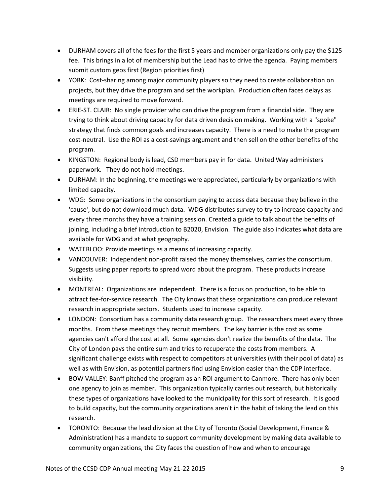- DURHAM covers all of the fees for the first 5 years and member organizations only pay the \$125 fee. This brings in a lot of membership but the Lead has to drive the agenda. Paying members submit custom geos first (Region priorities first)
- YORK: Cost-sharing among major community players so they need to create collaboration on projects, but they drive the program and set the workplan. Production often faces delays as meetings are required to move forward.
- ERIE-ST. CLAIR: No single provider who can drive the program from a financial side. They are trying to think about driving capacity for data driven decision making. Working with a "spoke" strategy that finds common goals and increases capacity. There is a need to make the program cost-neutral. Use the ROI as a cost-savings argument and then sell on the other benefits of the program.
- KINGSTON: Regional body is lead, CSD members pay in for data. United Way administers paperwork. They do not hold meetings.
- DURHAM: In the beginning, the meetings were appreciated, particularly by organizations with limited capacity.
- WDG: Some organizations in the consortium paying to access data because they believe in the 'cause', but do not download much data. WDG distributes survey to try to increase capacity and every three months they have a training session. Created a guide to talk about the benefits of joining, including a brief introduction to B2020, Envision. The guide also indicates what data are available for WDG and at what geography.
- WATERLOO: Provide meetings as a means of increasing capacity.
- VANCOUVER: Independent non-profit raised the money themselves, carries the consortium. Suggests using paper reports to spread word about the program. These products increase visibility.
- MONTREAL: Organizations are independent. There is a focus on production, to be able to attract fee-for-service research. The City knows that these organizations can produce relevant research in appropriate sectors. Students used to increase capacity.
- LONDON: Consortium has a community data research group. The researchers meet every three months. From these meetings they recruit members. The key barrier is the cost as some agencies can't afford the cost at all. Some agencies don't realize the benefits of the data. The City of London pays the entire sum and tries to recuperate the costs from members. A significant challenge exists with respect to competitors at universities (with their pool of data) as well as with Envision, as potential partners find using Envision easier than the CDP interface.
- BOW VALLEY: Banff pitched the program as an ROI argument to Canmore. There has only been one agency to join as member. This organization typically carries out research, but historically these types of organizations have looked to the municipality for this sort of research. It is good to build capacity, but the community organizations aren't in the habit of taking the lead on this research.
- TORONTO: Because the lead division at the City of Toronto (Social Development, Finance & Administration) has a mandate to support community development by making data available to community organizations, the City faces the question of how and when to encourage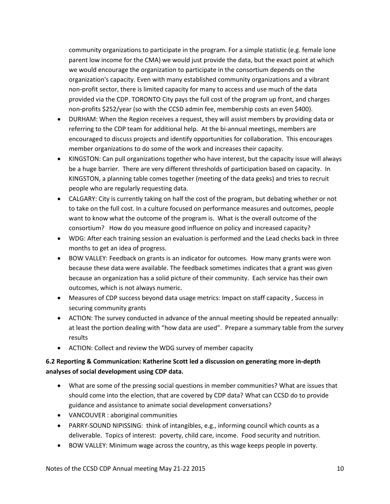community organizations to participate in the program. For a simple statistic (e.g. female lone parent low income for the CMA) we would just provide the data, but the exact point at which we would encourage the organization to participate in the consortium depends on the organization's capacity. Even with many established community organizations and a vibrant non-profit sector, there is limited capacity for many to access and use much of the data provided via the CDP. TORONTO City pays the full cost of the program up front, and charges non-profits \$252/year (so with the CCSD admin fee, membership costs an even \$400).

- DURHAM: When the Region receives a request, they will assist members by providing data or referring to the CDP team for additional help. At the bi-annual meetings, members are encouraged to discuss projects and identify opportunities for collaboration. This encourages member organizations to do some of the work and increases their capacity.
- KINGSTON: Can pull organizations together who have interest, but the capacity issue will always be a huge barrier. There are very different thresholds of participation based on capacity. In KINGSTON, a planning table comes together (meeting of the data geeks) and tries to recruit people who are regularly requesting data.
- CALGARY: City is currently taking on half the cost of the program, but debating whether or not to take on the full cost. In a culture focused on performance measures and outcomes, people want to know what the outcome of the program is. What is the overall outcome of the consortium? How do you measure good influence on policy and increased capacity?
- WDG: After each training session an evaluation is performed and the Lead checks back in three months to get an idea of progress.
- BOW VALLEY: Feedback on grants is an indicator for outcomes. How many grants were won because these data were available. The feedback sometimes indicates that a grant was given because an organization has a solid picture of their community. Each service has their own outcomes, which is not always numeric.
- Measures of CDP success beyond data usage metrics: Impact on staff capacity , Success in securing community grants
- ACTION: The survey conducted in advance of the annual meeting should be repeated annually: at least the portion dealing with "how data are used". Prepare a summary table from the survey results
- ACTION: Collect and review the WDG survey of member capacity

# **6.2 Reporting & Communication: Katherine Scott led a discussion on generating more in-depth analyses of social development using CDP data.**

- What are some of the pressing social questions in member communities? What are issues that should come into the election, that are covered by CDP data? What can CCSD do to provide guidance and assistance to animate social development conversations?
- VANCOUVER : aboriginal communities
- PARRY-SOUND NIPISSING: think of intangibles, e.g., informing council which counts as a deliverable. Topics of interest: poverty, child care, income. Food security and nutrition.
- BOW VALLEY: Minimum wage across the country, as this wage keeps people in poverty.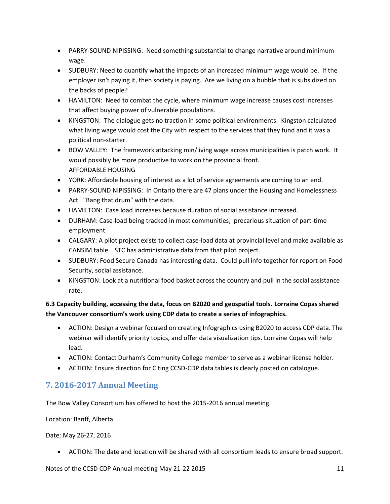- PARRY-SOUND NIPISSING: Need something substantial to change narrative around minimum wage.
- SUDBURY: Need to quantify what the impacts of an increased minimum wage would be. If the employer isn't paying it, then society is paying. Are we living on a bubble that is subsidized on the backs of people?
- HAMILTON: Need to combat the cycle, where minimum wage increase causes cost increases that affect buying power of vulnerable populations.
- KINGSTON: The dialogue gets no traction in some political environments. Kingston calculated what living wage would cost the City with respect to the services that they fund and it was a political non-starter.
- BOW VALLEY: The framework attacking min/living wage across municipalities is patch work. It would possibly be more productive to work on the provincial front. AFFORDABLE HOUSING
- YORK: Affordable housing of interest as a lot of service agreements are coming to an end.
- PARRY-SOUND NIPISSING: In Ontario there are 47 plans under the Housing and Homelessness Act. "Bang that drum" with the data.
- HAMILTON: Case load increases because duration of social assistance increased.
- DURHAM: Case-load being tracked in most communities; precarious situation of part-time employment
- CALGARY: A pilot project exists to collect case-load data at provincial level and make available as CANSIM table. STC has administrative data from that pilot project.
- SUDBURY: Food Secure Canada has interesting data. Could pull info together for report on Food Security, social assistance.
- KINGSTON: Look at a nutritional food basket across the country and pull in the social assistance rate.

# **6.3 Capacity building, accessing the data, focus on B2020 and geospatial tools. Lorraine Copas shared the Vancouver consortium's work using CDP data to create a series of infographics.**

- ACTION: Design a webinar focused on creating Infographics using B2020 to access CDP data. The webinar will identify priority topics, and offer data visualization tips. Lorraine Copas will help lead.
- ACTION: Contact Durham's Community College member to serve as a webinar license holder.
- ACTION: Ensure direction for Citing CCSD-CDP data tables is clearly posted on catalogue.

# <span id="page-10-0"></span>**7. 2016-2017 Annual Meeting**

The Bow Valley Consortium has offered to host the 2015-2016 annual meeting.

Location: Banff, Alberta

Date: May 26-27, 2016

ACTION: The date and location will be shared with all consortium leads to ensure broad support.

Notes of the CCSD CDP Annual meeting May 21-22 2015 11 11 11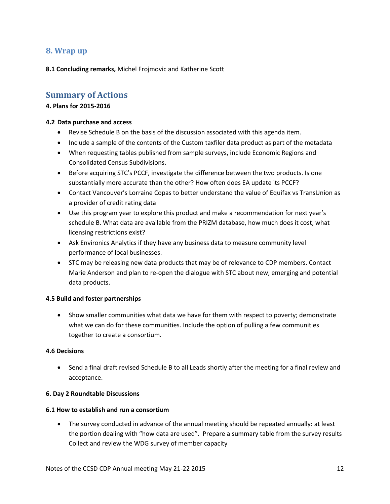## <span id="page-11-0"></span>**8. Wrap up**

**8.1 Concluding remarks,** Michel Frojmovic and Katherine Scott

# <span id="page-11-1"></span>**Summary of Actions**

#### **4. Plans for 2015-2016**

#### **4.2 Data purchase and access**

- Revise Schedule B on the basis of the discussion associated with this agenda item.
- Include a sample of the contents of the Custom taxfiler data product as part of the metadata
- When requesting tables published from sample surveys, include Economic Regions and Consolidated Census Subdivisions.
- Before acquiring STC's PCCF, investigate the difference between the two products. Is one substantially more accurate than the other? How often does EA update its PCCF?
- Contact Vancouver's Lorraine Copas to better understand the value of Equifax vs TransUnion as a provider of credit rating data
- Use this program year to explore this product and make a recommendation for next year's schedule B. What data are available from the PRIZM database, how much does it cost, what licensing restrictions exist?
- Ask Environics Analytics if they have any business data to measure community level performance of local businesses.
- STC may be releasing new data products that may be of relevance to CDP members. Contact Marie Anderson and plan to re-open the dialogue with STC about new, emerging and potential data products.

#### **4.5 Build and foster partnerships**

 Show smaller communities what data we have for them with respect to poverty; demonstrate what we can do for these communities. Include the option of pulling a few communities together to create a consortium.

#### **4.6 Decisions**

• Send a final draft revised Schedule B to all Leads shortly after the meeting for a final review and acceptance.

#### **6. Day 2 Roundtable Discussions**

#### **6.1 How to establish and run a consortium**

 The survey conducted in advance of the annual meeting should be repeated annually: at least the portion dealing with "how data are used". Prepare a summary table from the survey results Collect and review the WDG survey of member capacity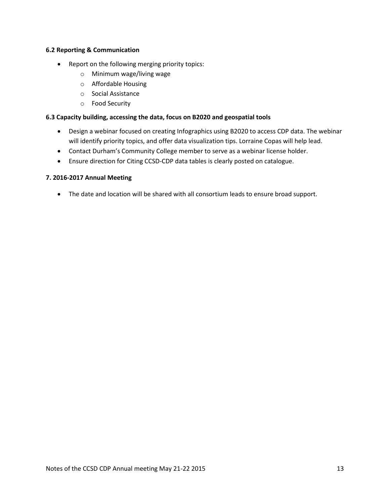#### **6.2 Reporting & Communication**

- Report on the following merging priority topics:
	- o Minimum wage/living wage
	- o Affordable Housing
	- o Social Assistance
	- o Food Security

## **6.3 Capacity building, accessing the data, focus on B2020 and geospatial tools**

- Design a webinar focused on creating Infographics using B2020 to access CDP data. The webinar will identify priority topics, and offer data visualization tips. Lorraine Copas will help lead.
- Contact Durham's Community College member to serve as a webinar license holder.
- Ensure direction for Citing CCSD-CDP data tables is clearly posted on catalogue.

## **7. 2016-2017 Annual Meeting**

• The date and location will be shared with all consortium leads to ensure broad support.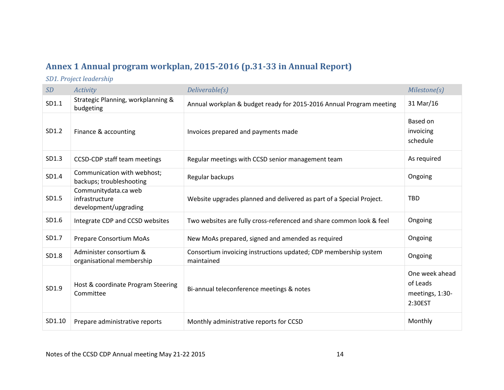# **Annex 1 Annual program workplan, 2015-2016 (p.31-33 in Annual Report)**

*SD1. Project leadership*

<span id="page-13-0"></span>

| SD     | <b>Activity</b>                                                 | Deliverable(s)                                                                 | Milestone(s)                                             |
|--------|-----------------------------------------------------------------|--------------------------------------------------------------------------------|----------------------------------------------------------|
| SD1.1  | Strategic Planning, workplanning &<br>budgeting                 | Annual workplan & budget ready for 2015-2016 Annual Program meeting            | 31 Mar/16                                                |
| SD1.2  | Finance & accounting                                            | Invoices prepared and payments made                                            | Based on<br>invoicing<br>schedule                        |
| SD1.3  | CCSD-CDP staff team meetings                                    | Regular meetings with CCSD senior management team                              | As required                                              |
| SD1.4  | Communication with webhost;<br>backups; troubleshooting         | Regular backups                                                                | Ongoing                                                  |
| SD1.5  | Communitydata.ca web<br>infrastructure<br>development/upgrading | Website upgrades planned and delivered as part of a Special Project.           | <b>TBD</b>                                               |
| SD1.6  | Integrate CDP and CCSD websites                                 | Two websites are fully cross-referenced and share common look & feel           | Ongoing                                                  |
| SD1.7  | Prepare Consortium MoAs                                         | New MoAs prepared, signed and amended as required                              | Ongoing                                                  |
| SD1.8  | Administer consortium &<br>organisational membership            | Consortium invoicing instructions updated; CDP membership system<br>maintained | Ongoing                                                  |
| SD1.9  | Host & coordinate Program Steering<br>Committee                 | Bi-annual teleconference meetings & notes                                      | One week ahead<br>of Leads<br>meetings, 1:30-<br>2:30EST |
| SD1.10 | Prepare administrative reports                                  | Monthly administrative reports for CCSD                                        | Monthly                                                  |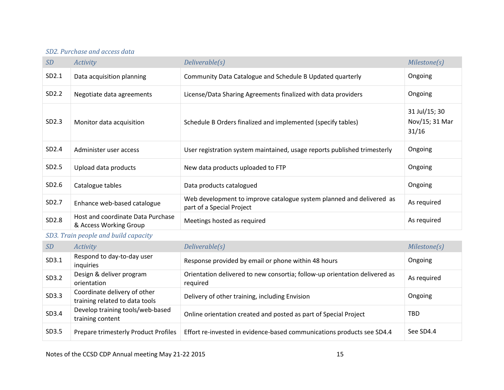# *SD2. Purchase and access data*

| SD                | <b>Activity</b>                                             | Deliverable(s)                                                                                    | Milestone(s)                             |
|-------------------|-------------------------------------------------------------|---------------------------------------------------------------------------------------------------|------------------------------------------|
| SD2.1             | Data acquisition planning                                   | Community Data Catalogue and Schedule B Updated quarterly                                         | Ongoing                                  |
| SD2.2             | Negotiate data agreements                                   | License/Data Sharing Agreements finalized with data providers                                     | Ongoing                                  |
| SD2.3             | Monitor data acquisition                                    | Schedule B Orders finalized and implemented (specify tables)                                      | 31 Jul/15; 30<br>Nov/15; 31 Mar<br>31/16 |
| SD2.4             | Administer user access                                      | User registration system maintained, usage reports published trimesterly                          | Ongoing                                  |
| SD2.5             | Upload data products                                        | New data products uploaded to FTP                                                                 | Ongoing                                  |
| SD <sub>2.6</sub> | Catalogue tables                                            | Data products catalogued                                                                          | Ongoing                                  |
| SD <sub>2.7</sub> | Enhance web-based catalogue                                 | Web development to improve catalogue system planned and delivered as<br>part of a Special Project | As required                              |
| SD2.8             | Host and coordinate Data Purchase<br>& Access Working Group | Meetings hosted as required                                                                       | As required                              |

# *SD3. Train people and build capacity*

| <i>SD</i> | <b>Activity</b>                                                | Deliverable(s)                                                                         | Milestone(s) |
|-----------|----------------------------------------------------------------|----------------------------------------------------------------------------------------|--------------|
| SD3.1     | Respond to day-to-day user<br>inquiries                        | Response provided by email or phone within 48 hours                                    | Ongoing      |
| SD3.2     | Design & deliver program<br>orientation                        | Orientation delivered to new consortia; follow-up orientation delivered as<br>required | As required  |
| SD3.3     | Coordinate delivery of other<br>training related to data tools | Delivery of other training, including Envision                                         | Ongoing      |
| SD3.4     | Develop training tools/web-based<br>training content           | Online orientation created and posted as part of Special Project                       | TBD          |
| SD3.5     | Prepare trimesterly Product Profiles                           | Effort re-invested in evidence-based communications products see SD4.4                 | See SD4.4    |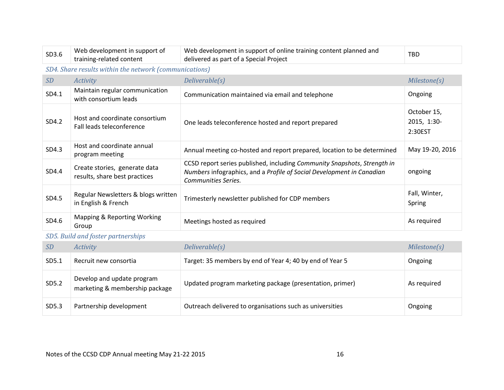| SD3.6                              | Web development in support of<br>training-related content      | Web development in support of online training content planned and<br>delivered as part of a Special Project                                                              | <b>TBD</b>                            |  |
|------------------------------------|----------------------------------------------------------------|--------------------------------------------------------------------------------------------------------------------------------------------------------------------------|---------------------------------------|--|
|                                    | SD4. Share results within the network (communications)         |                                                                                                                                                                          |                                       |  |
| SD                                 | <b>Activity</b>                                                | Deliverable(s)                                                                                                                                                           | Milestone(s)                          |  |
| SD4.1                              | Maintain regular communication<br>with consortium leads        | Communication maintained via email and telephone                                                                                                                         | Ongoing                               |  |
| SD4.2                              | Host and coordinate consortium<br>Fall leads teleconference    | One leads teleconference hosted and report prepared                                                                                                                      | October 15,<br>2015, 1:30-<br>2:30EST |  |
| SD4.3                              | Host and coordinate annual<br>program meeting                  | Annual meeting co-hosted and report prepared, location to be determined                                                                                                  | May 19-20, 2016                       |  |
| SD4.4                              | Create stories, generate data<br>results, share best practices | CCSD report series published, including Community Snapshots, Strength in<br>Numbers infographics, and a Profile of Social Development in Canadian<br>Communities Series. | ongoing                               |  |
| SD4.5                              | Regular Newsletters & blogs written<br>in English & French     | Trimesterly newsletter published for CDP members                                                                                                                         | Fall, Winter,<br>Spring               |  |
| SD4.6                              | Mapping & Reporting Working<br>Group                           | Meetings hosted as required                                                                                                                                              | As required                           |  |
| SD5. Build and foster partnerships |                                                                |                                                                                                                                                                          |                                       |  |

# *SD Activity Deliverable(s) Milestone(s)* SD5.1 Recruit new consortia Target: 35 members by end of Year 4; 40 by end of Year 5 Ongoing SD5.2 Develop and update program marketing & membership package Updated program marketing package (presentation, primer) As required SD5.3 Partnership development Outreach delivered to organisations such as universities **Ongoing**